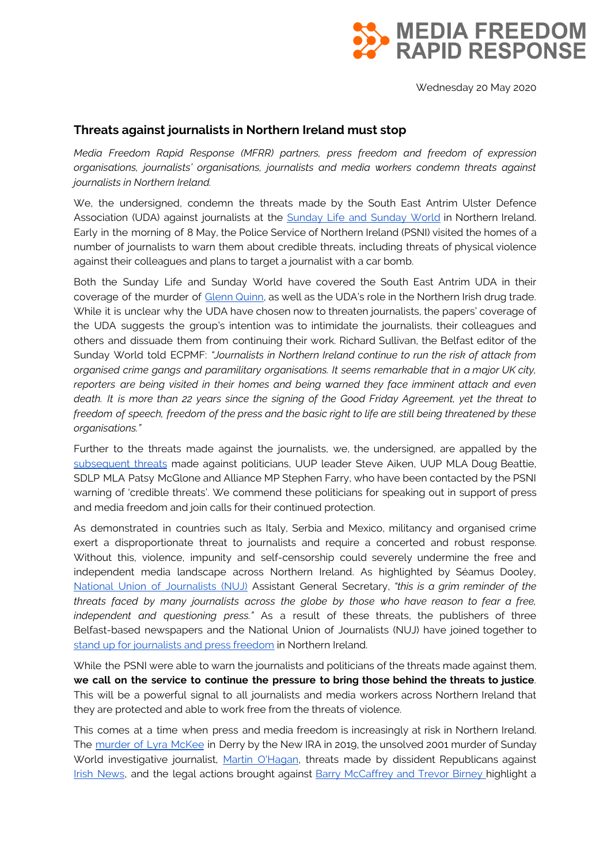

Wednesday 20 May 2020

## **Threats against journalists in Northern Ireland must stop**

*Media Freedom Rapid Response (MFRR) partners, press freedom and freedom of expression organisations, journalists' organisations, journalists and media workers condemn threats against journalists in Northern Ireland.*

We, the undersigned, condemn the threats made by the South East Antrim Ulster Defence Association (UDA) against journalists at the **[Sunday](https://mappingmediafreedom.ushahidi.io/posts/23304) Life and Sunday World in Northern Ireland**. Early in the morning of 8 May, the Police Service of Northern Ireland (PSNI) visited the homes of a number of journalists to warn them about credible threats, including threats of physical violence against their colleagues and plans to target a journalist with a car bomb.

Both the Sunday Life and Sunday World have covered the South East Antrim UDA in their coverage of the murder of [Glenn](https://www.belfasttelegraph.co.uk/sunday-life/news/tragic-glenn-quinn-is-uda-gangs-seventh-murder-victim-38873671.html) Quinn, as well as the UDA's role in the Northern Irish drug trade. While it is unclear why the UDA have chosen now to threaten journalists, the papers' coverage of the UDA suggests the group's intention was to intimidate the journalists, their colleagues and others and dissuade them from continuing their work. Richard Sullivan, the Belfast editor of the Sunday World told ECPMF: *"Journalists in Northern Ireland continue to run the risk of attack from organised crime gangs and paramilitary organisations. It seems remarkable that in a major UK city, reporters are being visited in their homes and being warned they face imminent attack and even* death. It is more than 22 years since the signing of the Good Friday Agreement, yet the threat to freedom of speech, freedom of the press and the basic right to life are still being threatened by these *organisations."*

Further to the threats made against the journalists, we, the undersigned, are appalled by the [subsequent](https://www.belfasttelegraph.co.uk/news/northern-ireland/loyalist-terrorists-threaten-northern-ireland-politicians-after-uda-journalist-warnings-39195997.html) threats made against politicians, UUP leader Steve Aiken, UUP MLA Doug Beattie, SDLP MLA Patsy McGlone and Alliance MP Stephen Farry, who have been contacted by the PSNI warning of 'credible threats'. We commend these politicians for speaking out in support of press and media freedom and join calls for their continued protection.

As demonstrated in countries such as Italy, Serbia and Mexico, militancy and organised crime exert a disproportionate threat to journalists and require a concerted and robust response. Without this, violence, impunity and self-censorship could severely undermine the free and independent media landscape across Northern Ireland. As highlighted by Séamus Dooley, National Union of [Journalists](https://www.nuj.org.uk/news/nuj-condemns-vile-threat-to-northern-ireland-newspapers/) (NUJ) Assistant General Secretary, *"this is a grim reminder of the threats faced by many journalists across the globe by those who have reason to fear a free, independent and questioning press."* As a result of these threats, the publishers of three Belfast-based newspapers and the National Union of Journalists (NUJ) have joined together to stand up for [journalists](https://www.nuj.org.uk/news/northern-ireland-unites-journalism/) and press freedom in Northern Ireland.

While the PSNI were able to warn the journalists and politicians of the threats made against them, **we call on the service to continue the pressure to bring those behind the threats to justice**. This will be a powerful signal to all journalists and media workers across Northern Ireland that they are protected and able to work free from the threats of violence.

This comes at a time when press and media freedom is increasingly at risk in Northern Ireland. The [murder](https://mappingmediafreedom.ushahidi.io/posts/23024) of Lyra McKee in Derry by the New IRA in 2019, the unsolved 2001 murder of Sunday World investigative journalist, Martin [O'Hagan](https://www.osce.org/fom/270206), threats made by dissident Republicans against Irish [News,](https://mappingmediafreedom.ushahidi.io/posts/23253) and the legal actions brought against **Barry [McCaffrey](https://www.theguardian.com/uk-news/2019/mar/02/police-treatment-no-stone-journalists-violates-media-freedoms) and Trevor Birney highlight** a